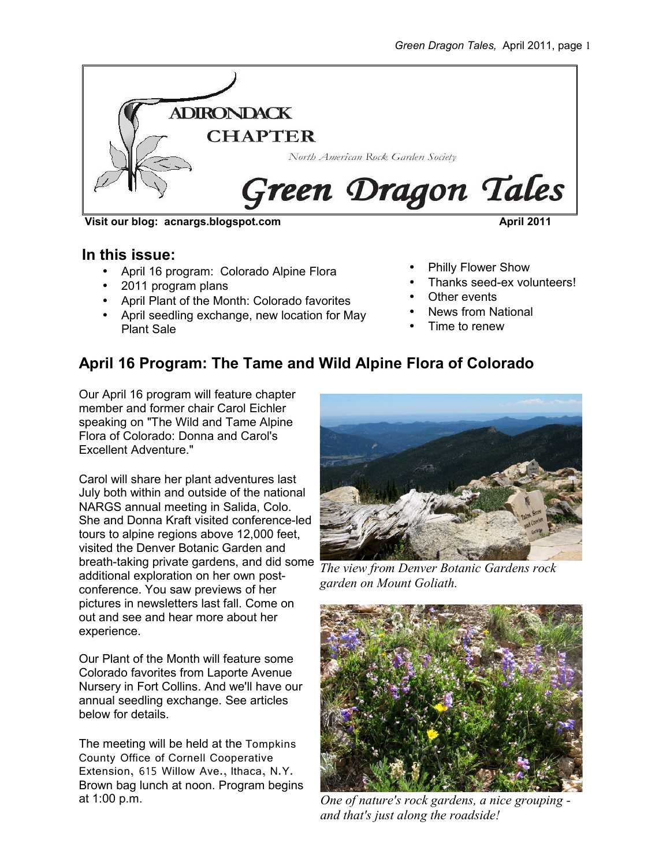

**Visit our blog: acnargs.blogspot.com April 2011**

### **In this issue:**

- April 16 program: Colorado Alpine Flora
- 2011 program plans
- April Plant of the Month: Colorado favorites
- April seedling exchange, new location for May Plant Sale
- Philly Flower Show
- Thanks seed-ex volunteers!
- Other events
- News from National
- Time to renew

## **April 16 Program: The Tame and Wild Alpine Flora of Colorado**

Our April 16 program will feature chapter member and former chair Carol Eichler speaking on "The Wild and Tame Alpine Flora of Colorado: Donna and Carol's Excellent Adventure."

Carol will share her plant adventures last July both within and outside of the national NARGS annual meeting in Salida, Colo. She and Donna Kraft visited conference-led tours to alpine regions above 12,000 feet, visited the Denver Botanic Garden and breath-taking private gardens, and did some *The view from Denver Botanic Gardens rock* additional exploration on her own postconference. You saw previews of her pictures in newsletters last fall. Come on out and see and hear more about her experience.

Our Plant of the Month will feature some Colorado favorites from Laporte Avenue Nursery in Fort Collins. And we'll have our annual seedling exchange. See articles below for details.

The meeting will be held at the Tompkins County Office of Cornell Cooperative Extension, 615 Willow Ave., Ithaca, N.Y. Brown bag lunch at noon. Program begins at 1:00 p.m.



*garden on Mount Goliath.*



*One of nature's rock gardens, a nice grouping and that's just along the roadside!*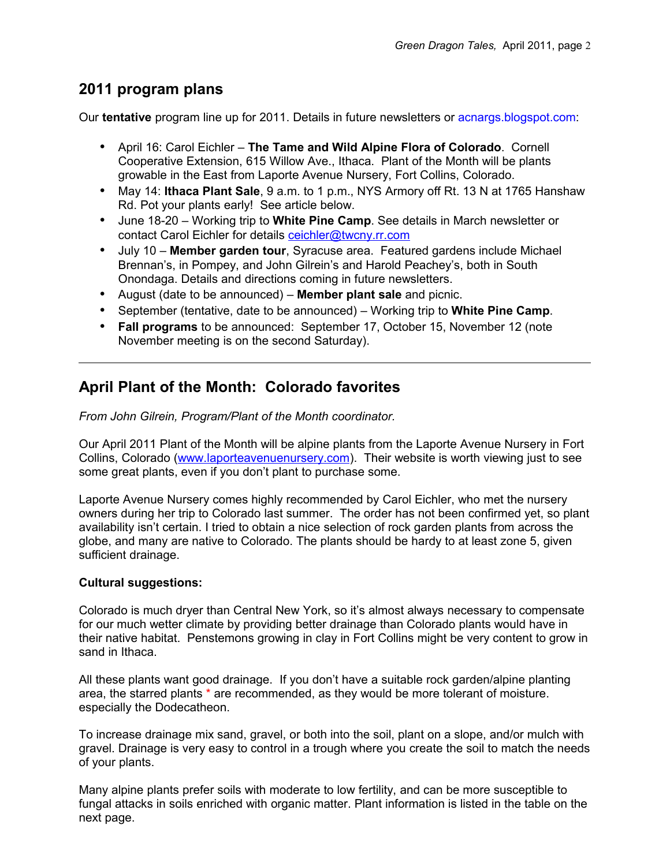### **2011 program plans**

Our **tentative** program line up for 2011. Details in future newsletters or acnargs.blogspot.com:

- April 16: Carol Eichler **The Tame and Wild Alpine Flora of Colorado**. Cornell Cooperative Extension, 615 Willow Ave., Ithaca. Plant of the Month will be plants growable in the East from Laporte Avenue Nursery, Fort Collins, Colorado.
- May 14: **Ithaca Plant Sale**, 9 a.m. to 1 p.m., NYS Armory off Rt. 13 N at 1765 Hanshaw Rd. Pot your plants early! See article below.
- June 18-20 Working trip to **White Pine Camp**. See details in March newsletter or contact Carol Eichler for details [ceichler@twcny.rr.com](mailto:ceichler@twcny.rr.com)
- July 10 **Member garden tour**, Syracuse area. Featured gardens include Michael Brennan's, in Pompey, and John Gilrein's and Harold Peachey's, both in South Onondaga. Details and directions coming in future newsletters.
- August (date to be announced) **Member plant sale** and picnic.
- September (tentative, date to be announced) Working trip to **White Pine Camp**.
- **Fall programs** to be announced: September 17, October 15, November 12 (note November meeting is on the second Saturday).

## **April Plant of the Month: Colorado favorites**

*From John Gilrein, Program/Plant of the Month coordinator.*

Our April 2011 Plant of the Month will be alpine plants from the Laporte Avenue Nursery in Fort Collins, Colorado [\(www.laporteavenuenursery.com\)](http://www.laporteavenuenursery.com/). Their website is worth viewing just to see some great plants, even if you don't plant to purchase some.

Laporte Avenue Nursery comes highly recommended by Carol Eichler, who met the nursery owners during her trip to Colorado last summer. The order has not been confirmed yet, so plant availability isn't certain. I tried to obtain a nice selection of rock garden plants from across the globe, and many are native to Colorado. The plants should be hardy to at least zone 5, given sufficient drainage.

#### **Cultural suggestions:**

Colorado is much dryer than Central New York, so it's almost always necessary to compensate for our much wetter climate by providing better drainage than Colorado plants would have in their native habitat. Penstemons growing in clay in Fort Collins might be very content to grow in sand in Ithaca.

All these plants want good drainage. If you don't have a suitable rock garden/alpine planting area, the starred plants \* are recommended, as they would be more tolerant of moisture. especially the Dodecatheon.

To increase drainage mix sand, gravel, or both into the soil, plant on a slope, and/or mulch with gravel. Drainage is very easy to control in a trough where you create the soil to match the needs of your plants.

Many alpine plants prefer soils with moderate to low fertility, and can be more susceptible to fungal attacks in soils enriched with organic matter. Plant information is listed in the table on the next page.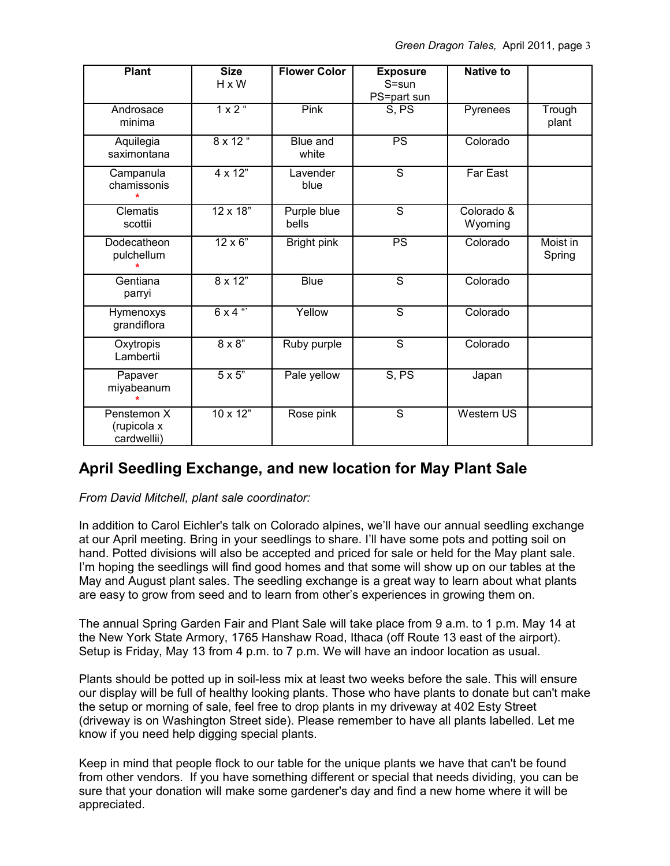| <b>Plant</b>                              | <b>Size</b><br>H x W | <b>Flower Color</b>  | <b>Exposure</b><br>S=sun<br>PS=part sun | <b>Native to</b>      |                    |
|-------------------------------------------|----------------------|----------------------|-----------------------------------------|-----------------------|--------------------|
| Androsace<br>minima                       | $1 \times 2$ "       | Pink                 | S, PS                                   | Pyrenees              | Trough<br>plant    |
| Aquilegia<br>saximontana                  | $8 \times 12$ "      | Blue and<br>white    | $\overline{PS}$                         | Colorado              |                    |
| Campanula<br>chamissonis                  | $4 \times 12"$       | Lavender<br>blue     | $\overline{\mathsf{s}}$                 | Far East              |                    |
| <b>Clematis</b><br>scottii                | $12 \times 18$ "     | Purple blue<br>bells | $\overline{s}$                          | Colorado &<br>Wyoming |                    |
| Dodecatheon<br>pulchellum                 | $12 \times 6$ "      | Bright pink          | PS                                      | Colorado              | Moist in<br>Spring |
| Gentiana<br>parryi                        | $8 \times 12"$       | <b>Blue</b>          | $\overline{s}$                          | Colorado              |                    |
| Hymenoxys<br>grandiflora                  | $6 \times 4$ "       | Yellow               | $\overline{s}$                          | Colorado              |                    |
| Oxytropis<br>Lambertii                    | $8 \times 8"$        | Ruby purple          | $\overline{s}$                          | Colorado              |                    |
| Papaver<br>miyabeanum                     | $5 \times 5$ "       | Pale yellow          | S, PS                                   | Japan                 |                    |
| Penstemon X<br>(rupicola x<br>cardwellii) | $10 \times 12"$      | Rose pink            | $\overline{s}$                          | Western US            |                    |

## **April Seedling Exchange, and new location for May Plant Sale**

*From David Mitchell, plant sale coordinator:*

In addition to Carol Eichler's talk on Colorado alpines, we'll have our annual seedling exchange at our April meeting. Bring in your seedlings to share. I'll have some pots and potting soil on hand. Potted divisions will also be accepted and priced for sale or held for the May plant sale. I'm hoping the seedlings will find good homes and that some will show up on our tables at the May and August plant sales. The seedling exchange is a great way to learn about what plants are easy to grow from seed and to learn from other's experiences in growing them on.

The annual Spring Garden Fair and Plant Sale will take place from 9 a.m. to 1 p.m. May 14 at the New York State Armory, 1765 Hanshaw Road, Ithaca (off Route 13 east of the airport). Setup is Friday, May 13 from 4 p.m. to 7 p.m. We will have an indoor location as usual.

Plants should be potted up in soil-less mix at least two weeks before the sale. This will ensure our display will be full of healthy looking plants. Those who have plants to donate but can't make the setup or morning of sale, feel free to drop plants in my driveway at 402 Esty Street (driveway is on Washington Street side). Please remember to have all plants labelled. Let me know if you need help digging special plants.

Keep in mind that people flock to our table for the unique plants we have that can't be found from other vendors. If you have something different or special that needs dividing, you can be sure that your donation will make some gardener's day and find a new home where it will be appreciated.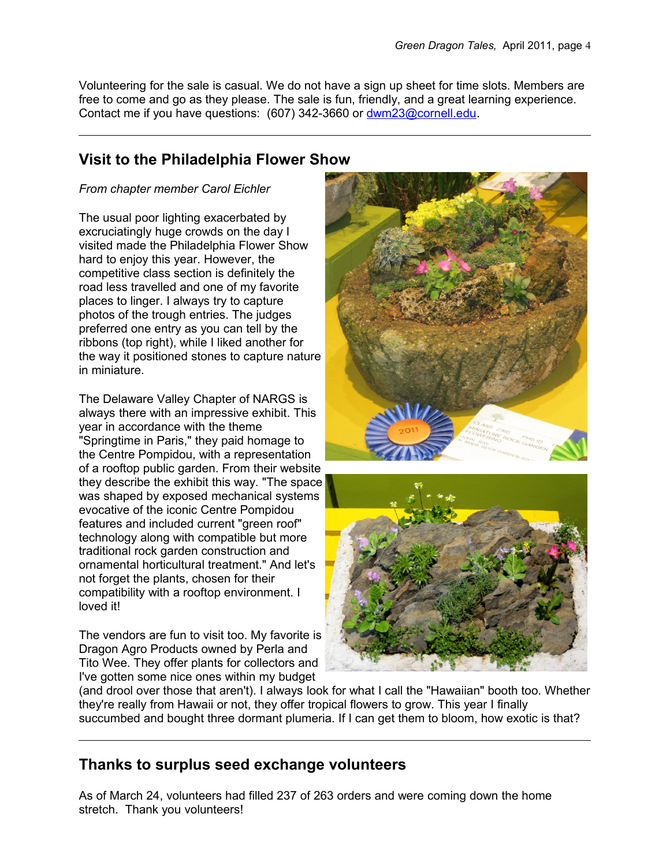Volunteering for the sale is casual. We do not have a sign up sheet for time slots. Members are free to come and go as they please. The sale is fun, friendly, and a great learning experience. Contact me if you have questions: (607) 342-3660 or [dwm23@cornell.edu.](mailto:dwm23@cornell.edu)

# **Visit to the Philadelphia Flower Show**

### *From chapter member Carol Eichler*

The usual poor lighting exacerbated by excruciatingly huge crowds on the day I visited made the Philadelphia Flower Show hard to enjoy this year. However, the competitive class section is definitely the road less travelled and one of my favorite places to linger. I always try to capture photos of the trough entries. The judges preferred one entry as you can tell by the ribbons (top right), while I liked another for the way it positioned stones to capture nature in miniature.

The Delaware Valley Chapter of NARGS is always there with an impressive exhibit. This year in accordance with the theme "Springtime in Paris," they paid homage to the Centre Pompidou, with a representation of a rooftop public garden. From their website they describe the exhibit this way. "The space was shaped by exposed mechanical systems evocative of the iconic Centre Pompidou features and included current "green roof" technology along with compatible but more traditional rock garden construction and ornamental horticultural treatment." And let's not forget the plants, chosen for their compatibility with a rooftop environment. I loved it!

The vendors are fun to visit too. My favorite is Dragon Agro Products owned by Perla and Tito Wee. They offer plants for collectors and I've gotten some nice ones within my budget





(and drool over those that aren't). I always look for what I call the "Hawaiian" booth too. Whether they're really from Hawaii or not, they offer tropical flowers to grow. This year I finally succumbed and bought three dormant plumeria. If I can get them to bloom, how exotic is that?

## **Thanks to surplus seed exchange volunteers**

As of March 24, volunteers had filled 237 of 263 orders and were coming down the home stretch. Thank you volunteers!